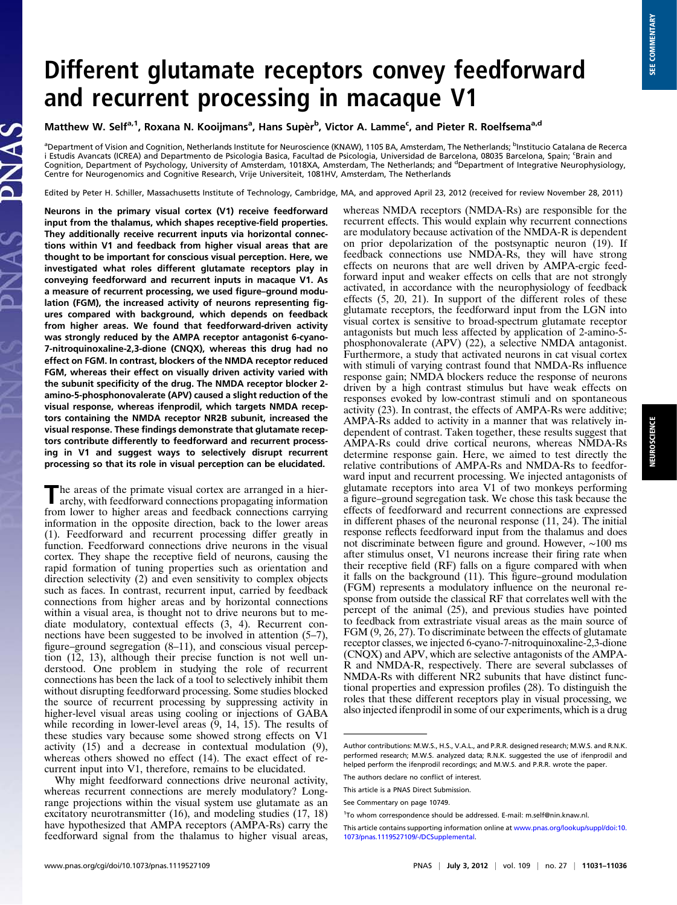# Different glutamate receptors convey feedforward and recurrent processing in macaque V1

Matthew W. Self<sup>a, 1</sup>, Roxana N. Kooijmans<sup>a</sup>, Hans Supèr<sup>b</sup>, Victor A. Lamme<sup>c</sup>, and Pieter R. Roelfsema<sup>a,d</sup>

<sup>a</sup>Department of Vision and Cognition, Netherlands Institute for Neuroscience (KNAW), 1105 BA, Amsterdam, The Netherlands; <sup>b</sup>Institucio Catalana de Recerca i Estudis Avancats (ICREA) and Departmento de Psicologia Basica, Facultad de Psicologia, Universidad de Barcelona, 08035 Barcelona, Spain; <sup>c</sup>Brain and Cognition, Department of Psychology, University of Amsterdam, 1018XA, Amsterdam, The Netherlands; and <sup>d</sup>Department of Integrative Neurophysiology, Centre for Neurogenomics and Cognitive Research, Vrije Universiteit, 1081HV, Amsterdam, The Netherlands

Edited by Peter H. Schiller, Massachusetts Institute of Technology, Cambridge, MA, and approved April 23, 2012 (received for review November 28, 2011)

Neurons in the primary visual cortex (V1) receive feedforward input from the thalamus, which shapes receptive-field properties. They additionally receive recurrent inputs via horizontal connections within V1 and feedback from higher visual areas that are thought to be important for conscious visual perception. Here, we investigated what roles different glutamate receptors play in conveying feedforward and recurrent inputs in macaque V1. As a measure of recurrent processing, we used figure–ground modulation (FGM), the increased activity of neurons representing figures compared with background, which depends on feedback from higher areas. We found that feedforward-driven activity was strongly reduced by the AMPA receptor antagonist 6-cyano-7-nitroquinoxaline-2,3-dione (CNQX), whereas this drug had no effect on FGM. In contrast, blockers of the NMDA receptor reduced FGM, whereas their effect on visually driven activity varied with the subunit specificity of the drug. The NMDA receptor blocker 2 amino-5-phosphonovalerate (APV) caused a slight reduction of the visual response, whereas ifenprodil, which targets NMDA receptors containing the NMDA receptor NR2B subunit, increased the visual response. These findings demonstrate that glutamate receptors contribute differently to feedforward and recurrent processing in V1 and suggest ways to selectively disrupt recurrent processing so that its role in visual perception can be elucidated.

The areas of the primate visual cortex are arranged in a hier-archy, with feedforward connections propagating information from lower to higher areas and feedback connections carrying information in the opposite direction, back to the lower areas (1). Feedforward and recurrent processing differ greatly in function. Feedforward connections drive neurons in the visual cortex. They shape the receptive field of neurons, causing the rapid formation of tuning properties such as orientation and direction selectivity (2) and even sensitivity to complex objects such as faces. In contrast, recurrent input, carried by feedback connections from higher areas and by horizontal connections within a visual area, is thought not to drive neurons but to mediate modulatory, contextual effects (3, 4). Recurrent connections have been suggested to be involved in attention (5–7), figure–ground segregation (8–11), and conscious visual perception (12, 13), although their precise function is not well understood. One problem in studying the role of recurrent connections has been the lack of a tool to selectively inhibit them without disrupting feedforward processing. Some studies blocked the source of recurrent processing by suppressing activity in higher-level visual areas using cooling or injections of GABA while recording in lower-level areas (9, 14, 15). The results of these studies vary because some showed strong effects on V1 activity (15) and a decrease in contextual modulation (9), whereas others showed no effect (14). The exact effect of recurrent input into V1, therefore, remains to be elucidated.

Why might feedforward connections drive neuronal activity, whereas recurrent connections are merely modulatory? Longrange projections within the visual system use glutamate as an excitatory neurotransmitter (16), and modeling studies (17, 18) have hypothesized that AMPA receptors (AMPA-Rs) carry the feedforward signal from the thalamus to higher visual areas,

whereas NMDA receptors (NMDA-Rs) are responsible for the recurrent effects. This would explain why recurrent connections are modulatory because activation of the NMDA-R is dependent on prior depolarization of the postsynaptic neuron (19). If feedback connections use NMDA-Rs, they will have strong effects on neurons that are well driven by AMPA-ergic feedforward input and weaker effects on cells that are not strongly activated, in accordance with the neurophysiology of feedback effects (5, 20, 21). In support of the different roles of these glutamate receptors, the feedforward input from the LGN into visual cortex is sensitive to broad-spectrum glutamate receptor antagonists but much less affected by application of 2-amino-5 phosphonovalerate (APV) (22), a selective NMDA antagonist. Furthermore, a study that activated neurons in cat visual cortex with stimuli of varying contrast found that NMDA-Rs influence response gain; NMDA blockers reduce the response of neurons driven by a high contrast stimulus but have weak effects on responses evoked by low-contrast stimuli and on spontaneous activity (23). In contrast, the effects of AMPA-Rs were additive; AMPA-Rs added to activity in a manner that was relatively independent of contrast. Taken together, these results suggest that AMPA-Rs could drive cortical neurons, whereas NMDA-Rs determine response gain. Here, we aimed to test directly the relative contributions of AMPA-Rs and NMDA-Rs to feedforward input and recurrent processing. We injected antagonists of glutamate receptors into area V1 of two monkeys performing a figure–ground segregation task. We chose this task because the effects of feedforward and recurrent connections are expressed in different phases of the neuronal response (11, 24). The initial response reflects feedforward input from the thalamus and does not discriminate between figure and ground. However, ∼100 ms after stimulus onset, V1 neurons increase their firing rate when their receptive field (RF) falls on a figure compared with when it falls on the background (11). This figure–ground modulation (FGM) represents a modulatory influence on the neuronal response from outside the classical RF that correlates well with the percept of the animal (25), and previous studies have pointed to feedback from extrastriate visual areas as the main source of FGM (9, 26, 27). To discriminate between the effects of glutamate receptor classes, we injected 6-cyano-7-nitroquinoxaline-2,3-dione (CNQX) and APV, which are selective antagonists of the AMPA-R and NMDA-R, respectively. There are several subclasses of NMDA-Rs with different NR2 subunits that have distinct functional properties and expression profiles (28). To distinguish the roles that these different receptors play in visual processing, we also injected ifenprodil in some of our experiments, which is a drug

Author contributions: M.W.S., H.S., V.A.L., and P.R.R. designed research; M.W.S. and R.N.K. performed research; M.W.S. analyzed data; R.N.K. suggested the use of ifenprodil and helped perform the ifenprodil recordings; and M.W.S. and P.R.R. wrote the paper.

The authors declare no conflict of interest.

This article is a PNAS Direct Submission.

See Commentary on page 10749.

<sup>&</sup>lt;sup>1</sup>To whom correspondence should be addressed. E-mail: [m.self@nin.knaw.nl.](mailto:m.self@nin.knaw.nl)

This article contains supporting information online at [www.pnas.org/lookup/suppl/doi:10.](http://www.pnas.org/lookup/suppl/doi:10.1073/pnas.1119527109/-/DCSupplemental) [1073/pnas.1119527109/-/DCSupplemental](http://www.pnas.org/lookup/suppl/doi:10.1073/pnas.1119527109/-/DCSupplemental).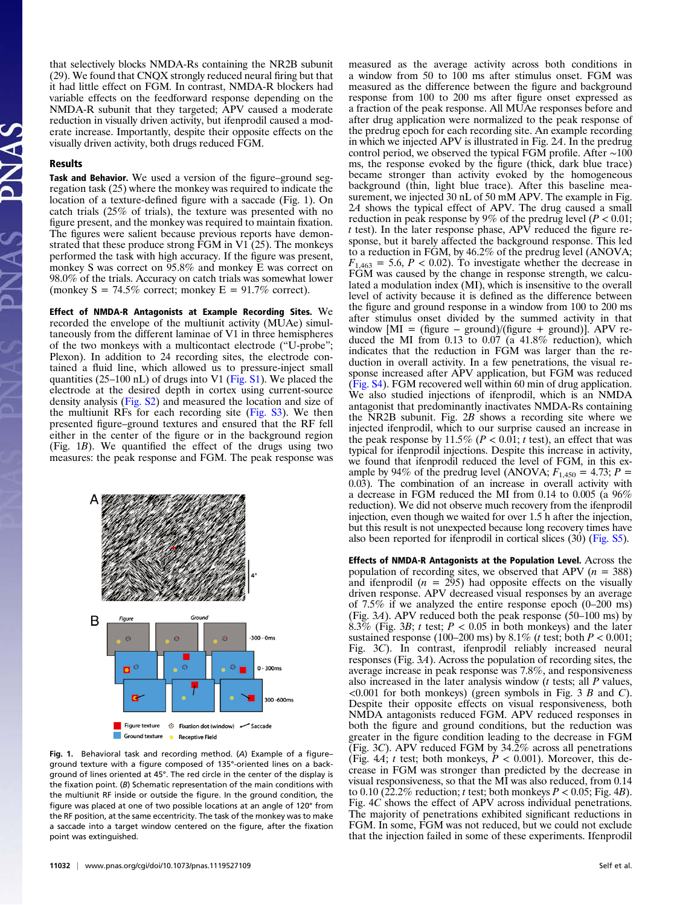that selectively blocks NMDA-Rs containing the NR2B subunit (29). We found that CNQX strongly reduced neural firing but that it had little effect on FGM. In contrast, NMDA-R blockers had variable effects on the feedforward response depending on the NMDA-R subunit that they targeted; APV caused a moderate reduction in visually driven activity, but ifenprodil caused a moderate increase. Importantly, despite their opposite effects on the visually driven activity, both drugs reduced FGM.

#### Results

Task and Behavior. We used a version of the figure–ground segregation task (25) where the monkey was required to indicate the location of a texture-defined figure with a saccade (Fig. 1). On catch trials (25% of trials), the texture was presented with no figure present, and the monkey was required to maintain fixation. The figures were salient because previous reports have demonstrated that these produce strong FGM in V1 (25). The monkeys performed the task with high accuracy. If the figure was present, monkey S was correct on 95.8% and monkey E was correct on 98.0% of the trials. Accuracy on catch trials was somewhat lower (monkey  $S = 74.5\%$  correct; monkey  $E = 91.7\%$  correct).

Effect of NMDA-R Antagonists at Example Recording Sites. We recorded the envelope of the multiunit activity (MUAe) simultaneously from the different laminae of V1 in three hemispheres of the two monkeys with a multicontact electrode ("U-probe"; Plexon). In addition to 24 recording sites, the electrode contained a fluid line, which allowed us to pressure-inject small quantities (25–100 nL) of drugs into V1 ([Fig. S1](http://www.pnas.org/lookup/suppl/doi:10.1073/pnas.1119527109/-/DCSupplemental/pnas.201119527SI.pdf?targetid=nameddest=SF1)). We placed the electrode at the desired depth in cortex using current-source density analysis ([Fig. S2\)](http://www.pnas.org/lookup/suppl/doi:10.1073/pnas.1119527109/-/DCSupplemental/pnas.201119527SI.pdf?targetid=nameddest=SF2) and measured the location and size of the multiunit RFs for each recording site ([Fig. S3\)](http://www.pnas.org/lookup/suppl/doi:10.1073/pnas.1119527109/-/DCSupplemental/pnas.201119527SI.pdf?targetid=nameddest=SF3). We then presented figure–ground textures and ensured that the RF fell either in the center of the figure or in the background region (Fig. 1B). We quantified the effect of the drugs using two measures: the peak response and FGM. The peak response was



Fig. 1. Behavioral task and recording method. (A) Example of a figure– ground texture with a figure composed of 135°-oriented lines on a background of lines oriented at 45°. The red circle in the center of the display is the fixation point. (B) Schematic representation of the main conditions with the multiunit RF inside or outside the figure. In the ground condition, the figure was placed at one of two possible locations at an angle of 120° from the RF position, at the same eccentricity. The task of the monkey was to make a saccade into a target window centered on the figure, after the fixation point was extinguished.

measured as the average activity across both conditions in a window from 50 to 100 ms after stimulus onset. FGM was measured as the difference between the figure and background response from 100 to 200 ms after figure onset expressed as a fraction of the peak response. All MUAe responses before and after drug application were normalized to the peak response of the predrug epoch for each recording site. An example recording in which we injected APV is illustrated in Fig. 2A. In the predrug control period, we observed the typical FGM profile. After ∼100 ms, the response evoked by the figure (thick, dark blue trace) became stronger than activity evoked by the homogeneous background (thin, light blue trace). After this baseline measurement, we injected 30 nL of 50 mM APV. The example in Fig. 2A shows the typical effect of APV. The drug caused a small reduction in peak response by 9% of the predrug level ( $P < 0.01$ ;  $t$  test). In the later response phase, APV reduced the figure response, but it barely affected the background response. This led to a reduction in FGM, by 46.2% of the predrug level (ANOVA;  $F_{1,463} = 5.6, P < 0.02$ . To investigate whether the decrease in FGM was caused by the change in response strength, we calculated a modulation index (MI), which is insensitive to the overall level of activity because it is defined as the difference between the figure and ground response in a window from 100 to 200 ms after stimulus onset divided by the summed activity in that window  $[MI = (figure - ground)/(figure + ground)].$  APV reduced the MI from 0.13 to 0.07 (a 41.8% reduction), which indicates that the reduction in FGM was larger than the reduction in overall activity. In a few penetrations, the visual response increased after APV application, but FGM was reduced ([Fig. S4\)](http://www.pnas.org/lookup/suppl/doi:10.1073/pnas.1119527109/-/DCSupplemental/pnas.201119527SI.pdf?targetid=nameddest=SF4). FGM recovered well within 60 min of drug application. We also studied injections of ifenprodil, which is an NMDA antagonist that predominantly inactivates NMDA-Rs containing the NR2B subunit. Fig. 2B shows a recording site where we injected ifenprodil, which to our surprise caused an increase in the peak response by 11.5% ( $P < 0.01$ ; t test), an effect that was typical for ifenprodil injections. Despite this increase in activity, we found that ifenprodil reduced the level of FGM, in this example by 94% of the predrug level (ANOVA;  $F_{1,450} = 4.73$ ;  $P =$ 0.03). The combination of an increase in overall activity with a decrease in FGM reduced the MI from 0.14 to 0.005 (a 96% reduction). We did not observe much recovery from the ifenprodil injection, even though we waited for over 1.5 h after the injection, but this result is not unexpected because long recovery times have also been reported for ifenprodil in cortical slices (30) [\(Fig. S5](http://www.pnas.org/lookup/suppl/doi:10.1073/pnas.1119527109/-/DCSupplemental/pnas.201119527SI.pdf?targetid=nameddest=SF5)).

Effects of NMDA-R Antagonists at the Population Level. Across the population of recording sites, we observed that APV ( $n = 388$ ) and ifenprodil  $(n = 295)$  had opposite effects on the visually driven response. APV decreased visual responses by an average of 7.5% if we analyzed the entire response epoch (0–200 ms) (Fig. 3A). APV reduced both the peak response (50–100 ms) by 8.3% (Fig. 3B; t test;  $P < 0.05$  in both monkeys) and the later sustained response (100–200 ms) by 8.1% (*t* test; both  $P < 0.001$ ; Fig. 3C). In contrast, ifenprodil reliably increased neural responses (Fig. 3A). Across the population of recording sites, the average increase in peak response was 7.8%, and responsiveness also increased in the later analysis window  $(t$  tests; all  $P$  values,  $\leq 0.001$  for both monkeys) (green symbols in Fig. 3 B and C). Despite their opposite effects on visual responsiveness, both NMDA antagonists reduced FGM. APV reduced responses in both the figure and ground conditions, but the reduction was greater in the figure condition leading to the decrease in FGM (Fig. 3C). APV reduced FGM by  $34.2\%$  across all penetrations (Fig. 4A; t test; both monkeys,  $P < 0.001$ ). Moreover, this decrease in FGM was stronger than predicted by the decrease in visual responsiveness, so that the MI was also reduced, from 0.14 to 0.10 (22.2% reduction; t test; both monkeys  $P < 0.05$ ; Fig. 4B). Fig. 4C shows the effect of APV across individual penetrations. The majority of penetrations exhibited significant reductions in FGM. In some, FGM was not reduced, but we could not exclude that the injection failed in some of these experiments. Ifenprodil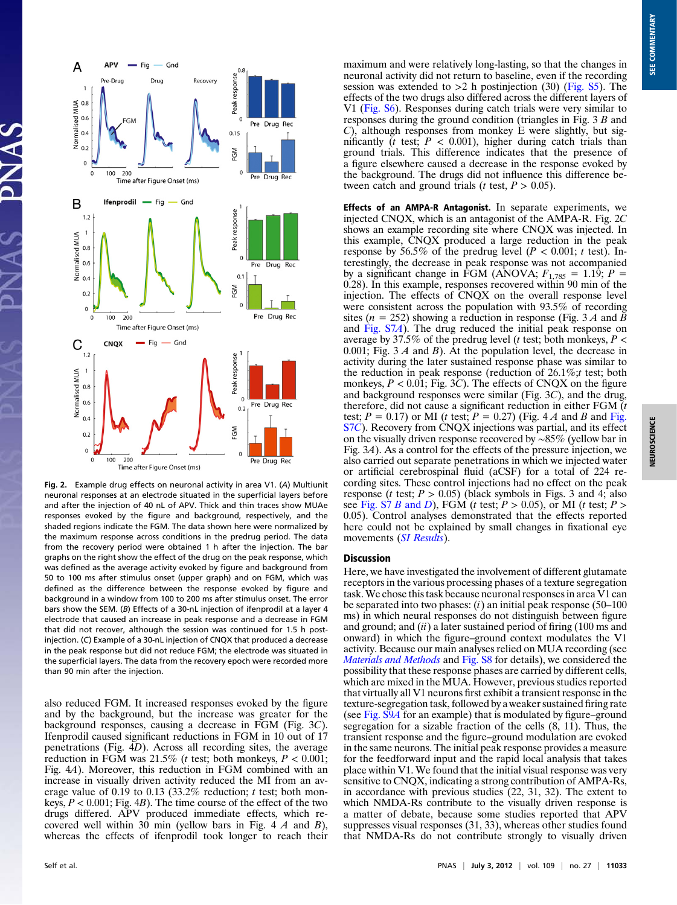

Fig. 2. Example drug effects on neuronal activity in area V1. (A) Multiunit neuronal responses at an electrode situated in the superficial layers before and after the injection of 40 nL of APV. Thick and thin traces show MUAe responses evoked by the figure and background, respectively, and the shaded regions indicate the FGM. The data shown here were normalized by the maximum response across conditions in the predrug period. The data from the recovery period were obtained 1 h after the injection. The bar graphs on the right show the effect of the drug on the peak response, which was defined as the average activity evoked by figure and background from 50 to 100 ms after stimulus onset (upper graph) and on FGM, which was defined as the difference between the response evoked by figure and background in a window from 100 to 200 ms after stimulus onset. The error bars show the SEM. (B) Effects of a 30-nL injection of ifenprodil at a layer 4 electrode that caused an increase in peak response and a decrease in FGM that did not recover, although the session was continued for 1.5 h postinjection. (C) Example of a 30-nL injection of CNQX that produced a decrease in the peak response but did not reduce FGM; the electrode was situated in the superficial layers. The data from the recovery epoch were recorded more than 90 min after the injection.

also reduced FGM. It increased responses evoked by the figure and by the background, but the increase was greater for the background responses, causing a decrease in FGM (Fig. 3C). Ifenprodil caused significant reductions in FGM in 10 out of 17 penetrations (Fig.  $4D$ ). Across all recording sites, the average reduction in FGM was 21.5% (*t* test; both monkeys,  $P < 0.001$ ; Fig. 4A). Moreover, this reduction in FGM combined with an increase in visually driven activity reduced the MI from an average value of 0.19 to 0.13 (33.2% reduction; t test; both monkeys,  $P < 0.001$ ; Fig. 4B). The time course of the effect of the two drugs differed. APV produced immediate effects, which recovered well within  $30$  min (yellow bars in Fig. 4 A and B), whereas the effects of ifenprodil took longer to reach their maximum and were relatively long-lasting, so that the changes in neuronal activity did not return to baseline, even if the recording session was extended to  $>2$  h postinjection (30) ([Fig. S5\)](http://www.pnas.org/lookup/suppl/doi:10.1073/pnas.1119527109/-/DCSupplemental/pnas.201119527SI.pdf?targetid=nameddest=SF5). The effects of the two drugs also differed across the different layers of V1 ([Fig. S6](http://www.pnas.org/lookup/suppl/doi:10.1073/pnas.1119527109/-/DCSupplemental/pnas.201119527SI.pdf?targetid=nameddest=SF6)). Responses during catch trials were very similar to responses during the ground condition (triangles in Fig. 3 B and C), although responses from monkey E were slightly, but significantly  $(t$  test;  $P < 0.001$ ), higher during catch trials than ground trials. This difference indicates that the presence of a figure elsewhere caused a decrease in the response evoked by the background. The drugs did not influence this difference between catch and ground trials ( $t$  test,  $P > 0.05$ ).

Effects of an AMPA-R Antagonist. In separate experiments, we injected CNQX, which is an antagonist of the AMPA-R. Fig. 2C shows an example recording site where CNQX was injected. In this example, CNQX produced a large reduction in the peak response by 56.5% of the predrug level ( $P < 0.001$ ; t test). Interestingly, the decrease in peak response was not accompanied by a significant change in FGM (ANOVA;  $F_{1,785} = 1.19$ ;  $P =$ 0.28). In this example, responses recovered within 90 min of the injection. The effects of CNQX on the overall response level were consistent across the population with 93.5% of recording sites ( $n = 252$ ) showing a reduction in response (Fig. 3 A and  $\bar{B}$ ) and [Fig. S7](http://www.pnas.org/lookup/suppl/doi:10.1073/pnas.1119527109/-/DCSupplemental/pnas.201119527SI.pdf?targetid=nameddest=SF7)A). The drug reduced the initial peak response on average by 37.5% of the predrug level (*t* test; both monkeys,  $P \leq$ 0.001; Fig.  $3 \text{ } A$  and  $B$ ). At the population level, the decrease in activity during the later sustained response phase was similar to the reduction in peak response (reduction of  $26.1\%$ ; test; both monkeys,  $P < 0.01$ ; Fig. 3C). The effects of CNQX on the figure and background responses were similar (Fig. 3C), and the drug, therefore, did not cause a significant reduction in either FGM  $(t)$ test;  $P = 0.17$ ) or MI (t test;  $P = 0.27$ ) ([Fig.](http://www.pnas.org/lookup/suppl/doi:10.1073/pnas.1119527109/-/DCSupplemental/pnas.201119527SI.pdf?targetid=nameddest=SF7) 4 A and B and Fig. [S7](http://www.pnas.org/lookup/suppl/doi:10.1073/pnas.1119527109/-/DCSupplemental/pnas.201119527SI.pdf?targetid=nameddest=SF7)C). Recovery from CNQX injections was partial, and its effect on the visually driven response recovered by ∼85% (yellow bar in Fig. 3A). As a control for the effects of the pressure injection, we also carried out separate penetrations in which we injected water or artificial cerebrospinal fluid (aCSF) for a total of 224 recording sites. These control injections had no effect on the peak response (*t* test;  $P > 0.05$ ) (black symbols in Figs. 3 and 4; also see Fig.  $S7 B$  and D), FGM (t test;  $P > 0.05$ ), or MI (t test;  $P >$ 0.05). Control analyses demonstrated that the effects reported here could not be explained by small changes in fixational eye movements ([SI Results](http://www.pnas.org/lookup/suppl/doi:10.1073/pnas.1119527109/-/DCSupplemental/pnas.201119527SI.pdf?targetid=nameddest=STXT)).

### Discussion

Here, we have investigated the involvement of different glutamate receptors in the various processing phases of a texture segregation task.We chose this task because neuronal responses in area V1 can be separated into two phases:  $(i)$  an initial peak response (50–100) ms) in which neural responses do not distinguish between figure and ground; and  $(ii)$  a later sustained period of firing (100 ms and onward) in which the figure–ground context modulates the V1 activity. Because our main analyses relied on MUA recording (see [Materials and Methods](http://www.pnas.org/lookup/suppl/doi:10.1073/pnas.1119527109/-/DCSupplemental/pnas.201119527SI.pdf?targetid=nameddest=STXT) and [Fig. S8](http://www.pnas.org/lookup/suppl/doi:10.1073/pnas.1119527109/-/DCSupplemental/pnas.201119527SI.pdf?targetid=nameddest=SF8) for details), we considered the possibility that these response phases are carried by different cells, which are mixed in the MUA. However, previous studies reported that virtually all V1 neurons first exhibit a transient response in the texture-segregation task, followed by a weaker sustained firing rate (see [Fig. S9](http://www.pnas.org/lookup/suppl/doi:10.1073/pnas.1119527109/-/DCSupplemental/pnas.201119527SI.pdf?targetid=nameddest=SF9)A for an example) that is modulated by figure–ground segregation for a sizable fraction of the cells (8, 11). Thus, the transient response and the figure–ground modulation are evoked in the same neurons. The initial peak response provides a measure for the feedforward input and the rapid local analysis that takes place within V1. We found that the initial visual response was very sensitive to CNQX, indicating a strong contribution of AMPA-Rs, in accordance with previous studies (22, 31, 32). The extent to which NMDA-Rs contribute to the visually driven response is a matter of debate, because some studies reported that APV suppresses visual responses (31, 33), whereas other studies found that NMDA-Rs do not contribute strongly to visually driven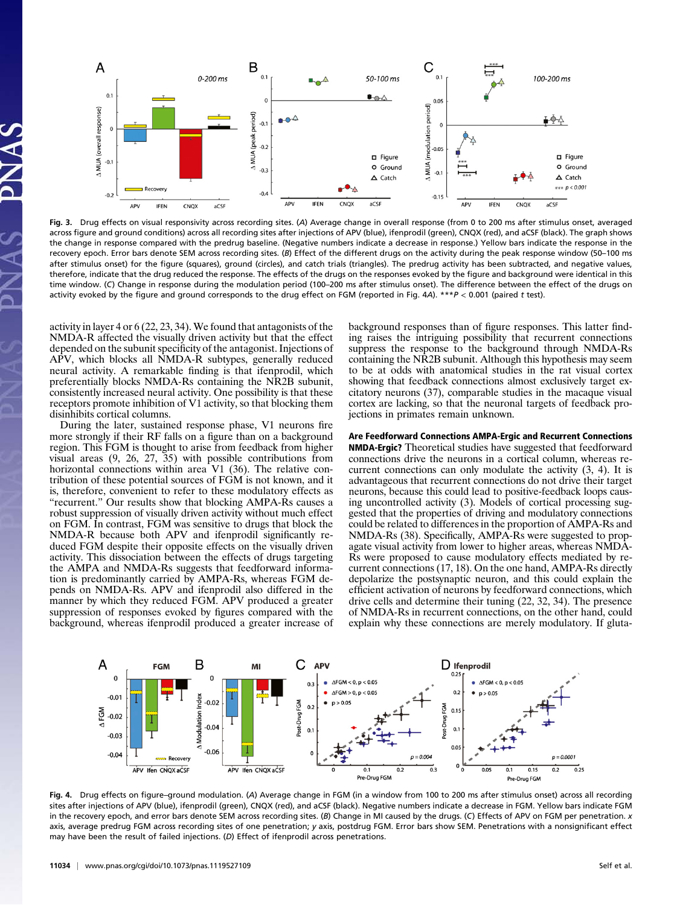

Fig. 3. Drug effects on visual responsivity across recording sites. (A) Average change in overall response (from 0 to 200 ms after stimulus onset, averaged across figure and ground conditions) across all recording sites after injections of APV (blue), ifenprodil (green), CNQX (red), and aCSF (black). The graph shows the change in response compared with the predrug baseline. (Negative numbers indicate a decrease in response.) Yellow bars indicate the response in the recovery epoch. Error bars denote SEM across recording sites. (B) Effect of the different drugs on the activity during the peak response window (50–100 ms after stimulus onset) for the figure (squares), ground (circles), and catch trials (triangles). The predrug activity has been subtracted, and negative values, therefore, indicate that the drug reduced the response. The effects of the drugs on the responses evoked by the figure and background were identical in this time window. (C) Change in response during the modulation period (100–200 ms after stimulus onset). The difference between the effect of the drugs on activity evoked by the figure and ground corresponds to the drug effect on FGM (reported in Fig. 4A).  $***P < 0.001$  (paired t test).

activity in layer 4 or 6 (22, 23, 34). We found that antagonists of the NMDA-R affected the visually driven activity but that the effect depended on the subunit specificity of the antagonist. Injections of APV, which blocks all NMDA-R subtypes, generally reduced neural activity. A remarkable finding is that ifenprodil, which preferentially blocks NMDA-Rs containing the NR2B subunit, consistently increased neural activity. One possibility is that these receptors promote inhibition of V1 activity, so that blocking them disinhibits cortical columns.

During the later, sustained response phase, V1 neurons fire more strongly if their RF falls on a figure than on a background region. This FGM is thought to arise from feedback from higher visual areas (9, 26, 27, 35) with possible contributions from horizontal connections within area V1 (36). The relative contribution of these potential sources of FGM is not known, and it is, therefore, convenient to refer to these modulatory effects as "recurrent." Our results show that blocking AMPA-Rs causes a robust suppression of visually driven activity without much effect on FGM. In contrast, FGM was sensitive to drugs that block the NMDA-R because both APV and ifenprodil significantly reduced FGM despite their opposite effects on the visually driven activity. This dissociation between the effects of drugs targeting the AMPA and NMDA-Rs suggests that feedforward information is predominantly carried by AMPA-Rs, whereas FGM depends on NMDA-Rs. APV and ifenprodil also differed in the manner by which they reduced FGM. APV produced a greater suppression of responses evoked by figures compared with the background, whereas ifenprodil produced a greater increase of background responses than of figure responses. This latter finding raises the intriguing possibility that recurrent connections suppress the response to the background through NMDA-Rs containing the NR2B subunit. Although this hypothesis may seem to be at odds with anatomical studies in the rat visual cortex showing that feedback connections almost exclusively target excitatory neurons (37), comparable studies in the macaque visual cortex are lacking, so that the neuronal targets of feedback projections in primates remain unknown.

#### Are Feedforward Connections AMPA-Ergic and Recurrent Connections

NMDA-Ergic? Theoretical studies have suggested that feedforward connections drive the neurons in a cortical column, whereas recurrent connections can only modulate the activity (3, 4). It is advantageous that recurrent connections do not drive their target neurons, because this could lead to positive-feedback loops causing uncontrolled activity (3). Models of cortical processing suggested that the properties of driving and modulatory connections could be related to differences in the proportion of AMPA-Rs and NMDA-Rs (38). Specifically, AMPA-Rs were suggested to propagate visual activity from lower to higher areas, whereas NMDA-Rs were proposed to cause modulatory effects mediated by recurrent connections (17, 18). On the one hand, AMPA-Rs directly depolarize the postsynaptic neuron, and this could explain the efficient activation of neurons by feedforward connections, which drive cells and determine their tuning (22, 32, 34). The presence of NMDA-Rs in recurrent connections, on the other hand, could explain why these connections are merely modulatory. If gluta-



Fig. 4. Drug effects on figure–ground modulation. (A) Average change in FGM (in a window from 100 to 200 ms after stimulus onset) across all recording sites after injections of APV (blue), ifenprodil (green), CNQX (red), and aCSF (black). Negative numbers indicate a decrease in FGM. Yellow bars indicate FGM in the recovery epoch, and error bars denote SEM across recording sites. (B) Change in MI caused by the drugs. (C) Effects of APV on FGM per penetration. x axis, average predrug FGM across recording sites of one penetration; y axis, postdrug FGM. Error bars show SEM. Penetrations with a nonsignificant effect may have been the result of failed injections. (D) Effect of ifenprodil across penetrations.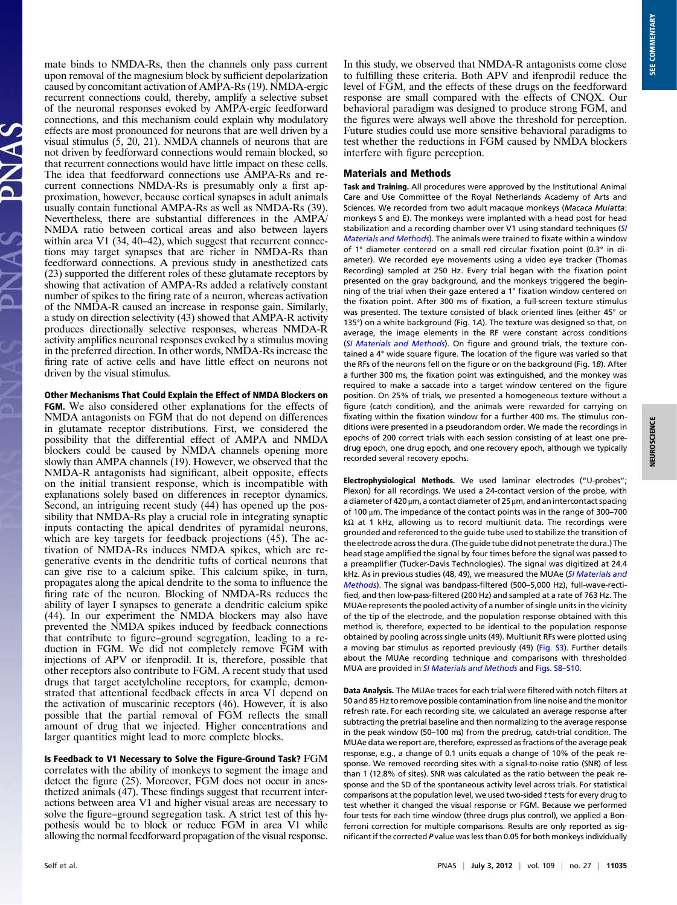mate binds to NMDA-Rs, then the channels only pass current upon removal of the magnesium block by sufficient depolarization caused by concomitant activation of AMPA-Rs (19). NMDA-ergic recurrent connections could, thereby, amplify a selective subset of the neuronal responses evoked by AMPA-ergic feedforward connections, and this mechanism could explain why modulatory effects are most pronounced for neurons that are well driven by a visual stimulus (5, 20, 21). NMDA channels of neurons that are not driven by feedforward connections would remain blocked, so that recurrent connections would have little impact on these cells. The idea that feedforward connections use AMPA-Rs and recurrent connections NMDA-Rs is presumably only a first approximation, however, because cortical synapses in adult animals usually contain functional AMPA-Rs as well as NMDA-Rs (39). Nevertheless, there are substantial differences in the AMPA/ NMDA ratio between cortical areas and also between layers within area V1 (34, 40–42), which suggest that recurrent connections may target synapses that are richer in NMDA-Rs than feedforward connections. A previous study in anesthetized cats (23) supported the different roles of these glutamate receptors by showing that activation of AMPA-Rs added a relatively constant number of spikes to the firing rate of a neuron, whereas activation of the NMDA-R caused an increase in response gain. Similarly, a study on direction selectivity (43) showed that AMPA-R activity produces directionally selective responses, whereas NMDA-R activity amplifies neuronal responses evoked by a stimulus moving in the preferred direction. In other words, NMDA-Rs increase the firing rate of active cells and have little effect on neurons not driven by the visual stimulus.

Other Mechanisms That Could Explain the Effect of NMDA Blockers on

FGM. We also considered other explanations for the effects of NMDA antagonists on FGM that do not depend on differences in glutamate receptor distributions. First, we considered the possibility that the differential effect of AMPA and NMDA blockers could be caused by NMDA channels opening more slowly than AMPA channels (19). However, we observed that the NMDA-R antagonists had significant, albeit opposite, effects on the initial transient response, which is incompatible with explanations solely based on differences in receptor dynamics. Second, an intriguing recent study (44) has opened up the possibility that NMDA-Rs play a crucial role in integrating synaptic inputs contacting the apical dendrites of pyramidal neurons, which are key targets for feedback projections (45). The activation of NMDA-Rs induces NMDA spikes, which are regenerative events in the dendritic tufts of cortical neurons that can give rise to a calcium spike. This calcium spike, in turn, propagates along the apical dendrite to the soma to influence the firing rate of the neuron. Blocking of NMDA-Rs reduces the ability of layer I synapses to generate a dendritic calcium spike (44). In our experiment the NMDA blockers may also have prevented the NMDA spikes induced by feedback connections that contribute to figure–ground segregation, leading to a reduction in FGM. We did not completely remove FGM with injections of APV or ifenprodil. It is, therefore, possible that other receptors also contribute to FGM. A recent study that used drugs that target acetylcholine receptors, for example, demonstrated that attentional feedback effects in area V1 depend on the activation of muscarinic receptors (46). However, it is also possible that the partial removal of FGM reflects the small amount of drug that we injected. Higher concentrations and larger quantities might lead to more complete blocks.

Is Feedback to V1 Necessary to Solve the Figure-Ground Task? FGM correlates with the ability of monkeys to segment the image and detect the figure (25). Moreover, FGM does not occur in anesthetized animals (47). These findings suggest that recurrent interactions between area V1 and higher visual areas are necessary to solve the figure–ground segregation task. A strict test of this hypothesis would be to block or reduce FGM in area V1 while allowing the normal feedforward propagation of the visual response.

In this study, we observed that NMDA-R antagonists come close to fulfilling these criteria. Both APV and ifenprodil reduce the level of FGM, and the effects of these drugs on the feedforward response are small compared with the effects of CNQX. Our behavioral paradigm was designed to produce strong FGM, and the figures were always well above the threshold for perception. Future studies could use more sensitive behavioral paradigms to test whether the reductions in FGM caused by NMDA blockers interfere with figure perception.

## Materials and Methods

Task and Training. All procedures were approved by the Institutional Animal Care and Use Committee of the Royal Netherlands Academy of Arts and Sciences. We recorded from two adult macaque monkeys (Macaca Mulatta: monkeys S and E). The monkeys were implanted with a head post for head stabilization and a recording chamber over V1 using standard techniques ([SI](http://www.pnas.org/lookup/suppl/doi:10.1073/pnas.1119527109/-/DCSupplemental/pnas.201119527SI.pdf?targetid=nameddest=STXT) [Materials and Methods](http://www.pnas.org/lookup/suppl/doi:10.1073/pnas.1119527109/-/DCSupplemental/pnas.201119527SI.pdf?targetid=nameddest=STXT)). The animals were trained to fixate within a window of 1° diameter centered on a small red circular fixation point (0.3° in diameter). We recorded eye movements using a video eye tracker (Thomas Recording) sampled at 250 Hz. Every trial began with the fixation point presented on the gray background, and the monkeys triggered the beginning of the trial when their gaze entered a 1° fixation window centered on the fixation point. After 300 ms of fixation, a full-screen texture stimulus was presented. The texture consisted of black oriented lines (either 45° or 135°) on a white background (Fig. 1A). The texture was designed so that, on average, the image elements in the RF were constant across conditions ([SI Materials and Methods](http://www.pnas.org/lookup/suppl/doi:10.1073/pnas.1119527109/-/DCSupplemental/pnas.201119527SI.pdf?targetid=nameddest=STXT)). On figure and ground trials, the texture contained a 4° wide square figure. The location of the figure was varied so that the RFs of the neurons fell on the figure or on the background (Fig. 1B). After a further 300 ms, the fixation point was extinguished, and the monkey was required to make a saccade into a target window centered on the figure position. On 25% of trials, we presented a homogeneous texture without a figure (catch condition), and the animals were rewarded for carrying on fixating within the fixation window for a further 400 ms. The stimulus conditions were presented in a pseudorandom order. We made the recordings in epochs of 200 correct trials with each session consisting of at least one predrug epoch, one drug epoch, and one recovery epoch, although we typically recorded several recovery epochs.

Electrophysiological Methods. We used laminar electrodes ("U-probes"; Plexon) for all recordings. We used a 24-contact version of the probe, with a diameter of 420 μm, a contact diameter of 25 μm, and an intercontact spacing of 100 μm. The impedance of the contact points was in the range of 300–700 kΩ at 1 kHz, allowing us to record multiunit data. The recordings were grounded and referenced to the guide tube used to stabilize the transition of the electrode across the dura. (The guide tube did not penetrate the dura.) The head stage amplified the signal by four times before the signal was passed to a preamplifier (Tucker-Davis Technologies). The signal was digitized at 24.4 kHz. As in previous studies (48, 49), we measured the MUAe ([SI Materials and](http://www.pnas.org/lookup/suppl/doi:10.1073/pnas.1119527109/-/DCSupplemental/pnas.201119527SI.pdf?targetid=nameddest=STXT) [Methods](http://www.pnas.org/lookup/suppl/doi:10.1073/pnas.1119527109/-/DCSupplemental/pnas.201119527SI.pdf?targetid=nameddest=STXT)). The signal was bandpass-filtered (500–5,000 Hz), full-wave-rectified, and then low-pass-filtered (200 Hz) and sampled at a rate of 763 Hz. The MUAe represents the pooled activity of a number of single units in the vicinity of the tip of the electrode, and the population response obtained with this method is, therefore, expected to be identical to the population response obtained by pooling across single units (49). Multiunit RFs were plotted using a moving bar stimulus as reported previously (49) ([Fig. S3](http://www.pnas.org/lookup/suppl/doi:10.1073/pnas.1119527109/-/DCSupplemental/pnas.201119527SI.pdf?targetid=nameddest=SF3)). Further details about the MUAe recording technique and comparisons with thresholded MUA are provided in [SI Materials and Methods](http://www.pnas.org/lookup/suppl/doi:10.1073/pnas.1119527109/-/DCSupplemental/pnas.201119527SI.pdf?targetid=nameddest=STXT) and [Figs. S8](http://www.pnas.org/lookup/suppl/doi:10.1073/pnas.1119527109/-/DCSupplemental/pnas.201119527SI.pdf?targetid=nameddest=SF8)–[S10.](http://www.pnas.org/lookup/suppl/doi:10.1073/pnas.1119527109/-/DCSupplemental/pnas.201119527SI.pdf?targetid=nameddest=SF10)

Data Analysis. The MUAe traces for each trial were filtered with notch filters at 50 and 85 Hz to remove possible contamination from line noise and the monitor refresh rate. For each recording site, we calculated an average response after subtracting the pretrial baseline and then normalizing to the average response in the peak window (50–100 ms) from the predrug, catch-trial condition. The MUAe data we report are, therefore, expressed as fractions of the average peak response, e.g., a change of 0.1 units equals a change of 10% of the peak response. We removed recording sites with a signal-to-noise ratio (SNR) of less than 1 (12.8% of sites). SNR was calculated as the ratio between the peak response and the SD of the spontaneous activity level across trials. For statistical comparisons at the population level, we used two-sided ttests for every drug to test whether it changed the visual response or FGM. Because we performed four tests for each time window (three drugs plus control), we applied a Bonferroni correction for multiple comparisons. Results are only reported as significant if the corrected P value was less than 0.05 for both monkeys individually